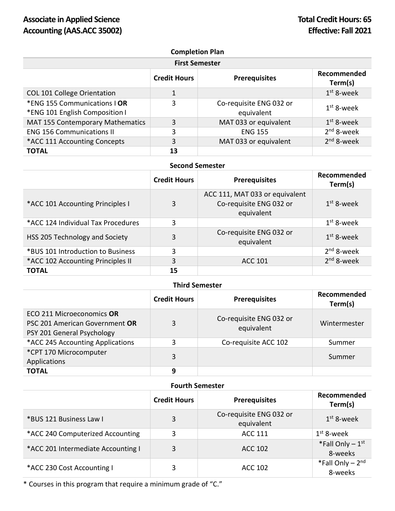# **Completion Plan**

| <b>First Semester</b>                                          |                     |                                       |                        |  |
|----------------------------------------------------------------|---------------------|---------------------------------------|------------------------|--|
|                                                                | <b>Credit Hours</b> | <b>Prerequisites</b>                  | Recommended<br>Term(s) |  |
| COL 101 College Orientation                                    | $\mathbf{1}$        |                                       | $1st$ 8-week           |  |
| *ENG 155 Communications   OR<br>*ENG 101 English Composition I | 3                   | Co-requisite ENG 032 or<br>equivalent | $1st$ 8-week           |  |
| MAT 155 Contemporary Mathematics                               | 3                   | MAT 033 or equivalent                 | $1st$ 8-week           |  |
| <b>ENG 156 Communications II</b>                               | 3                   | <b>ENG 155</b>                        | $2nd$ 8-week           |  |
| *ACC 111 Accounting Concepts                                   | 3                   | MAT 033 or equivalent                 | $2nd$ 8-week           |  |
| <b>TOTAL</b>                                                   | 13                  |                                       |                        |  |

#### **Second Semester**

|                                    | <b>Credit Hours</b> | <b>Prerequisites</b>                                                    | Recommended<br>Term(s) |
|------------------------------------|---------------------|-------------------------------------------------------------------------|------------------------|
| *ACC 101 Accounting Principles I   | 3                   | ACC 111, MAT 033 or equivalent<br>Co-requisite ENG 032 or<br>equivalent | $1st$ 8-week           |
| *ACC 124 Individual Tax Procedures | 3                   |                                                                         | $1st$ 8-week           |
| HSS 205 Technology and Society     | 3                   | Co-requisite ENG 032 or<br>equivalent                                   | $1st$ 8-week           |
| *BUS 101 Introduction to Business  | 3                   |                                                                         | $2nd$ 8-week           |
| *ACC 102 Accounting Principles II  | 3                   | <b>ACC 101</b>                                                          | $2nd$ 8-week           |
| <b>TOTAL</b>                       | 15                  |                                                                         |                        |

### **Third Semester**

|                                                                                           | <b>Credit Hours</b> | <b>Prerequisites</b>                  | Recommended<br>Term(s) |
|-------------------------------------------------------------------------------------------|---------------------|---------------------------------------|------------------------|
| ECO 211 Microeconomics OR<br>PSC 201 American Government OR<br>PSY 201 General Psychology | 3                   | Co-requisite ENG 032 or<br>equivalent | Wintermester           |
| *ACC 245 Accounting Applications                                                          | 3                   | Co-requisite ACC 102                  | Summer                 |
| *CPT 170 Microcomputer<br>Applications                                                    | 3                   |                                       | Summer                 |
| <b>TOTAL</b>                                                                              | 9                   |                                       |                        |

### **Fourth Semester**

|                                    | <b>Credit Hours</b> | <b>Prerequisites</b>                  | Recommended<br>Term(s)                   |
|------------------------------------|---------------------|---------------------------------------|------------------------------------------|
| *BUS 121 Business Law I            | 3                   | Co-requisite ENG 032 or<br>equivalent | $1st$ 8-week                             |
| *ACC 240 Computerized Accounting   | 3                   | ACC 111                               | 1 <sup>st</sup> 8-week                   |
| *ACC 201 Intermediate Accounting I | 3                   | ACC 102                               | *Fall Only $-1$ <sup>st</sup><br>8-weeks |
| *ACC 230 Cost Accounting I         | 3                   | ACC 102                               | *Fall Only $-2nd$<br>8-weeks             |

\* Courses in this program that require a minimum grade of "C."